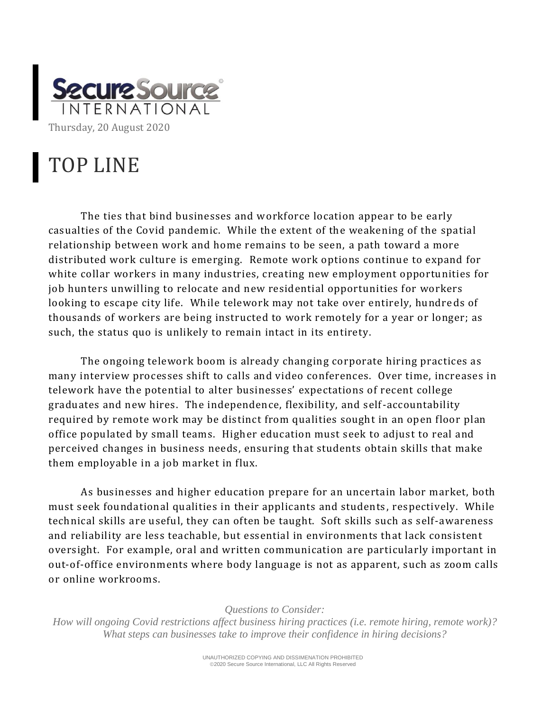

## TOP LINE

The ties that bind businesses and workforce location appear to be early casualties of the Covid pandemic. While the extent of the weakening of the spatial relationship between work and home remains to be seen, a path toward a more distributed work culture is emerging. Remote work options continue to expand for white collar workers in many industries, creating new employment opportunities for job hunters unwilling to relocate and new residential opportunities for workers looking to escape city life. While telework may not take over entirely, hundreds of thousands of workers are being instructed to work remotely for a year or longer; as such, the status quo is unlikely to remain intact in its entirety.

The ongoing telework boom is already changing corporate hiring practices as many interview processes shift to calls and video conferences. Over time, increases in telework have the potential to alter businesses' expectations of recent college graduates and new hires. The independence, flexibility, and self-accountability required by remote work may be distinct from qualities sought in an open floor plan office populated by small teams. Higher education must seek to adjust to real and perceived changes in business needs, ensuring that students obtain skills that make them employable in a job market in flux.

As businesses and higher education prepare for an uncertain labor market, both must seek foundational qualities in their applicants and students , respectively. While technical skills are useful, they can often be taught. Soft skills such as self-awareness and reliability are less teachable, but essential in environments that lack consistent oversight. For example, oral and written communication are particularly important in out-of-office environments where body language is not as apparent, such as zoom calls or online workrooms.

*Questions to Consider:*

*How will ongoing Covid restrictions affect business hiring practices (i.e. remote hiring, remote work)? What steps can businesses take to improve their confidence in hiring decisions?*

> UNAUTHORIZED COPYING AND DISSIMENATION PROHIBITED ©2020 Secure Source International, LLC All Rights Reserved